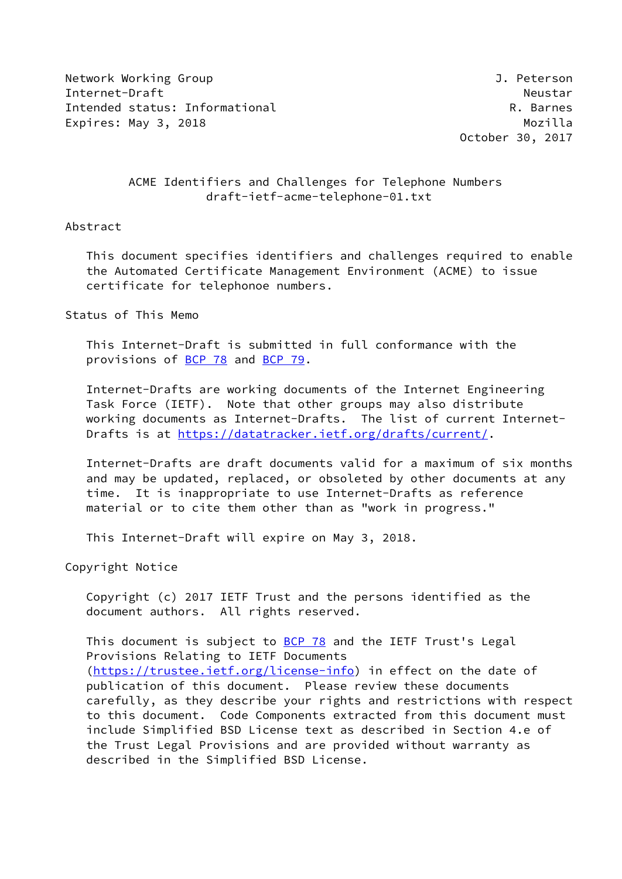Network Working Group **J. Peterson** Internet-Draft Neustar Intended status: Informational **R. Barnes** R. Barnes Expires: May 3, 2018 and the contract of the Mozilla

October 30, 2017

# ACME Identifiers and Challenges for Telephone Numbers draft-ietf-acme-telephone-01.txt

### Abstract

 This document specifies identifiers and challenges required to enable the Automated Certificate Management Environment (ACME) to issue certificate for telephonoe numbers.

Status of This Memo

 This Internet-Draft is submitted in full conformance with the provisions of [BCP 78](https://datatracker.ietf.org/doc/pdf/bcp78) and [BCP 79](https://datatracker.ietf.org/doc/pdf/bcp79).

 Internet-Drafts are working documents of the Internet Engineering Task Force (IETF). Note that other groups may also distribute working documents as Internet-Drafts. The list of current Internet Drafts is at<https://datatracker.ietf.org/drafts/current/>.

 Internet-Drafts are draft documents valid for a maximum of six months and may be updated, replaced, or obsoleted by other documents at any time. It is inappropriate to use Internet-Drafts as reference material or to cite them other than as "work in progress."

This Internet-Draft will expire on May 3, 2018.

Copyright Notice

 Copyright (c) 2017 IETF Trust and the persons identified as the document authors. All rights reserved.

This document is subject to [BCP 78](https://datatracker.ietf.org/doc/pdf/bcp78) and the IETF Trust's Legal Provisions Relating to IETF Documents [\(https://trustee.ietf.org/license-info](https://trustee.ietf.org/license-info)) in effect on the date of publication of this document. Please review these documents carefully, as they describe your rights and restrictions with respect to this document. Code Components extracted from this document must include Simplified BSD License text as described in Section 4.e of the Trust Legal Provisions and are provided without warranty as described in the Simplified BSD License.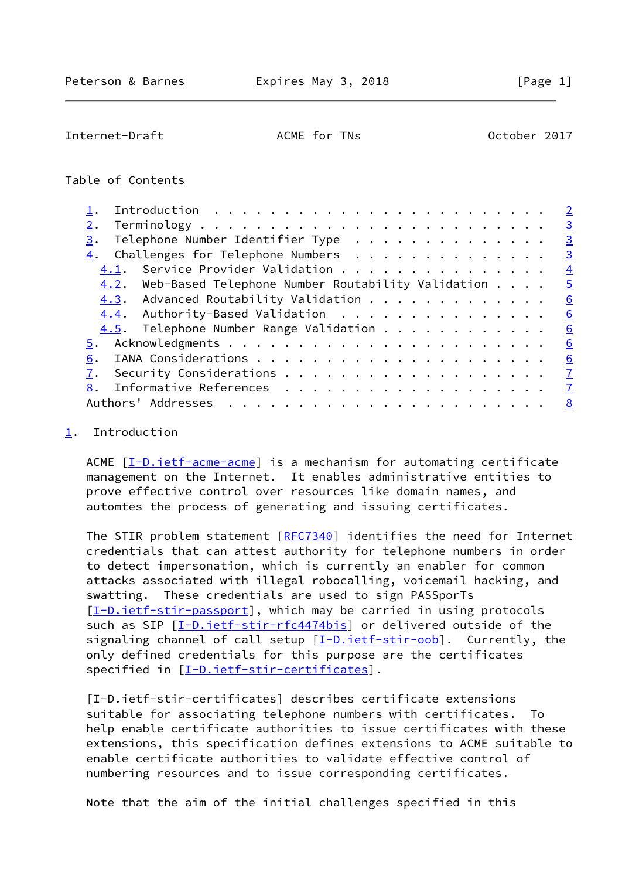<span id="page-1-1"></span>Internet-Draft **ACME** for TNs **October 2017** 

## Table of Contents

|    |                                                                      |  |  |  |  |  |  |  | $\overline{2}$ |
|----|----------------------------------------------------------------------|--|--|--|--|--|--|--|----------------|
| 2. |                                                                      |  |  |  |  |  |  |  | $\overline{3}$ |
| 3. | Telephone Number Identifier Type                                     |  |  |  |  |  |  |  | $\overline{3}$ |
|    | $\underline{4}$ . Challenges for Telephone Numbers                   |  |  |  |  |  |  |  | $\frac{3}{2}$  |
|    | 4.1. Service Provider Validation                                     |  |  |  |  |  |  |  | $\overline{4}$ |
|    | $4.2$ . Web-Based Telephone Number Routability Validation $\ldots$ . |  |  |  |  |  |  |  | $\overline{5}$ |
|    | 4.3. Advanced Routability Validation                                 |  |  |  |  |  |  |  | 6              |
|    | 4.4. Authority-Based Validation                                      |  |  |  |  |  |  |  | 6              |
|    | 4.5. Telephone Number Range Validation                               |  |  |  |  |  |  |  | 6              |
|    |                                                                      |  |  |  |  |  |  |  | 6              |
| 6. |                                                                      |  |  |  |  |  |  |  | 6              |
| 7. |                                                                      |  |  |  |  |  |  |  | $\mathbf{Z}$   |
|    | Informative References $\frac{7}{2}$                                 |  |  |  |  |  |  |  |                |
|    |                                                                      |  |  |  |  |  |  |  |                |

#### <span id="page-1-0"></span>[1](#page-1-0). Introduction

ACME  $[I-D.iett-acme-acme]$  is a mechanism for automating certificate management on the Internet. It enables administrative entities to prove effective control over resources like domain names, and automtes the process of generating and issuing certificates.

 The STIR problem statement [[RFC7340\]](https://datatracker.ietf.org/doc/pdf/rfc7340) identifies the need for Internet credentials that can attest authority for telephone numbers in order to detect impersonation, which is currently an enabler for common attacks associated with illegal robocalling, voicemail hacking, and swatting. These credentials are used to sign PASSporTs [\[I-D.ietf-stir-passport](#page-7-1)], which may be carried in using protocols such as SIP [\[I-D.ietf-stir-rfc4474bis](#page-7-2)] or delivered outside of the signaling channel of call setup [\[I-D.ietf-stir-oob](#page-7-3)]. Currently, the only defined credentials for this purpose are the certificates specified in [\[I-D.ietf-stir-certificates\]](#page-1-2).

<span id="page-1-2"></span> [I-D.ietf-stir-certificates] describes certificate extensions suitable for associating telephone numbers with certificates. To help enable certificate authorities to issue certificates with these extensions, this specification defines extensions to ACME suitable to enable certificate authorities to validate effective control of numbering resources and to issue corresponding certificates.

Note that the aim of the initial challenges specified in this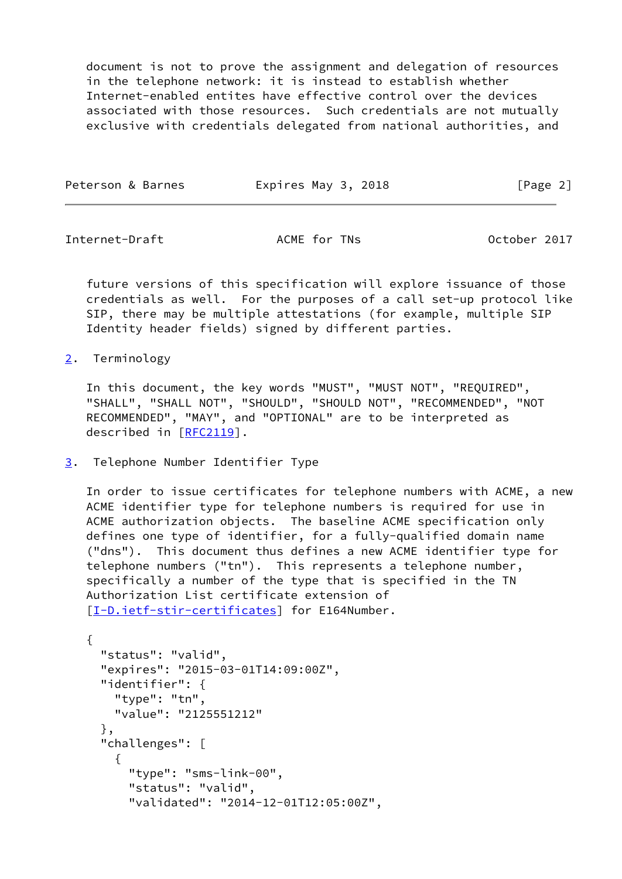document is not to prove the assignment and delegation of resources in the telephone network: it is instead to establish whether Internet-enabled entites have effective control over the devices associated with those resources. Such credentials are not mutually exclusive with credentials delegated from national authorities, and

| Peterson & Barnes | Expires May 3, 2018 | [Page 2] |
|-------------------|---------------------|----------|
|                   |                     |          |

<span id="page-2-1"></span>Internet-Draft **ACME** for TNs **October 2017** 

 future versions of this specification will explore issuance of those credentials as well. For the purposes of a call set-up protocol like SIP, there may be multiple attestations (for example, multiple SIP Identity header fields) signed by different parties.

<span id="page-2-0"></span>[2](#page-2-0). Terminology

 In this document, the key words "MUST", "MUST NOT", "REQUIRED", "SHALL", "SHALL NOT", "SHOULD", "SHOULD NOT", "RECOMMENDED", "NOT RECOMMENDED", "MAY", and "OPTIONAL" are to be interpreted as described in [\[RFC2119](https://datatracker.ietf.org/doc/pdf/rfc2119)].

<span id="page-2-2"></span>[3](#page-2-2). Telephone Number Identifier Type

 In order to issue certificates for telephone numbers with ACME, a new ACME identifier type for telephone numbers is required for use in ACME authorization objects. The baseline ACME specification only defines one type of identifier, for a fully-qualified domain name ("dns"). This document thus defines a new ACME identifier type for telephone numbers ("tn"). This represents a telephone number, specifically a number of the type that is specified in the TN Authorization List certificate extension of [\[I-D.ietf-stir-certificates\]](#page-1-2) for E164Number.

```
 {
  "status": "valid",
  "expires": "2015-03-01T14:09:00Z",
  "identifier": {
    "type": "tn",
    "value": "2125551212"
  },
  "challenges": [
    {
      "type": "sms-link-00",
      "status": "valid",
      "validated": "2014-12-01T12:05:00Z",
```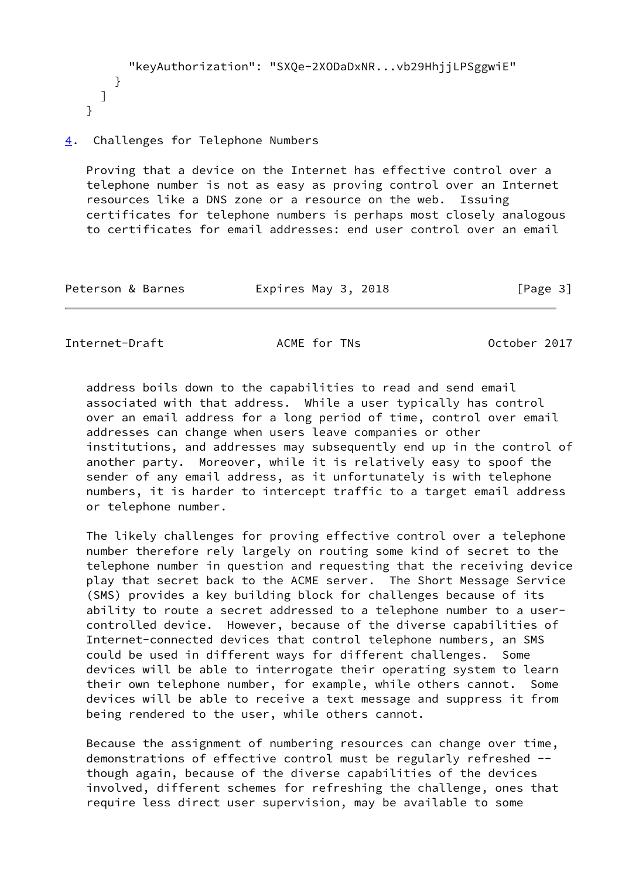```
 "keyAuthorization": "SXQe-2XODaDxNR...vb29HhjjLPSggwiE"
    }
 ]
}
```
## <span id="page-3-0"></span>[4](#page-3-0). Challenges for Telephone Numbers

 Proving that a device on the Internet has effective control over a telephone number is not as easy as proving control over an Internet resources like a DNS zone or a resource on the web. Issuing certificates for telephone numbers is perhaps most closely analogous to certificates for email addresses: end user control over an email

| Peterson & Barnes | Expires May 3, 2018 | [Page 3] |
|-------------------|---------------------|----------|
|-------------------|---------------------|----------|

<span id="page-3-1"></span>Internet-Draft **ACME** for TNs **October 2017** 

 address boils down to the capabilities to read and send email associated with that address. While a user typically has control over an email address for a long period of time, control over email addresses can change when users leave companies or other institutions, and addresses may subsequently end up in the control of another party. Moreover, while it is relatively easy to spoof the sender of any email address, as it unfortunately is with telephone numbers, it is harder to intercept traffic to a target email address or telephone number.

 The likely challenges for proving effective control over a telephone number therefore rely largely on routing some kind of secret to the telephone number in question and requesting that the receiving device play that secret back to the ACME server. The Short Message Service (SMS) provides a key building block for challenges because of its ability to route a secret addressed to a telephone number to a user controlled device. However, because of the diverse capabilities of Internet-connected devices that control telephone numbers, an SMS could be used in different ways for different challenges. Some devices will be able to interrogate their operating system to learn their own telephone number, for example, while others cannot. Some devices will be able to receive a text message and suppress it from being rendered to the user, while others cannot.

 Because the assignment of numbering resources can change over time, demonstrations of effective control must be regularly refreshed - though again, because of the diverse capabilities of the devices involved, different schemes for refreshing the challenge, ones that require less direct user supervision, may be available to some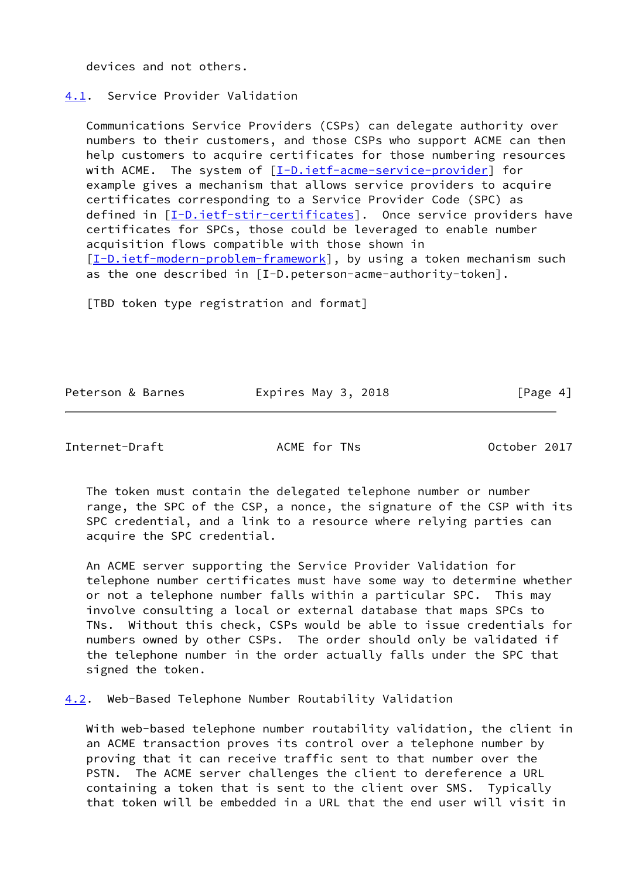devices and not others.

### <span id="page-4-0"></span>[4.1](#page-4-0). Service Provider Validation

 Communications Service Providers (CSPs) can delegate authority over numbers to their customers, and those CSPs who support ACME can then help customers to acquire certificates for those numbering resources with ACME. The system of [[I-D.ietf-acme-service-provider](#page-7-4)] for example gives a mechanism that allows service providers to acquire certificates corresponding to a Service Provider Code (SPC) as defined in [[I-D.ietf-stir-certificates\]](#page-1-2). Once service providers have certificates for SPCs, those could be leveraged to enable number acquisition flows compatible with those shown in [\[I-D.ietf-modern-problem-framework](#page-7-5)], by using a token mechanism such as the one described in [I-D.peterson-acme-authority-token].

[TBD token type registration and format]

Peterson & Barnes Fxpires May 3, 2018 Fage 4]

<span id="page-4-2"></span>Internet-Draft **ACME** for TNs **October 2017** 

 The token must contain the delegated telephone number or number range, the SPC of the CSP, a nonce, the signature of the CSP with its SPC credential, and a link to a resource where relying parties can acquire the SPC credential.

 An ACME server supporting the Service Provider Validation for telephone number certificates must have some way to determine whether or not a telephone number falls within a particular SPC. This may involve consulting a local or external database that maps SPCs to TNs. Without this check, CSPs would be able to issue credentials for numbers owned by other CSPs. The order should only be validated if the telephone number in the order actually falls under the SPC that signed the token.

<span id="page-4-1"></span>[4.2](#page-4-1). Web-Based Telephone Number Routability Validation

 With web-based telephone number routability validation, the client in an ACME transaction proves its control over a telephone number by proving that it can receive traffic sent to that number over the PSTN. The ACME server challenges the client to dereference a URL containing a token that is sent to the client over SMS. Typically that token will be embedded in a URL that the end user will visit in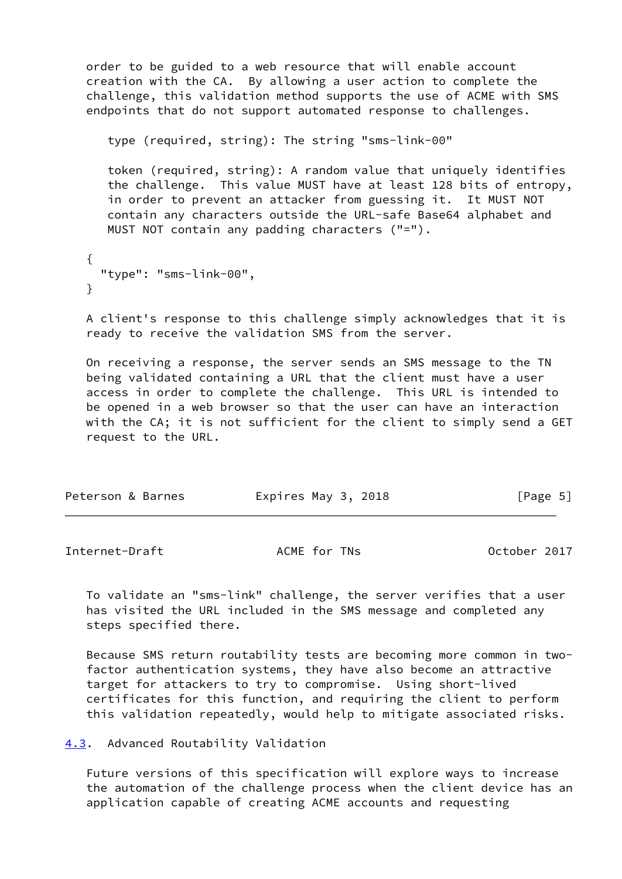order to be guided to a web resource that will enable account creation with the CA. By allowing a user action to complete the challenge, this validation method supports the use of ACME with SMS endpoints that do not support automated response to challenges.

type (required, string): The string "sms-link-00"

 token (required, string): A random value that uniquely identifies the challenge. This value MUST have at least 128 bits of entropy, in order to prevent an attacker from guessing it. It MUST NOT contain any characters outside the URL-safe Base64 alphabet and MUST NOT contain any padding characters ("=").

```
 {
  "type": "sms-link-00",
}
```
 A client's response to this challenge simply acknowledges that it is ready to receive the validation SMS from the server.

 On receiving a response, the server sends an SMS message to the TN being validated containing a URL that the client must have a user access in order to complete the challenge. This URL is intended to be opened in a web browser so that the user can have an interaction with the CA; it is not sufficient for the client to simply send a GET request to the URL.

| Expires May 3, 2018<br>Peterson & Barnes |  |  | [Page 5] |
|------------------------------------------|--|--|----------|
|------------------------------------------|--|--|----------|

<span id="page-5-1"></span>Internet-Draft **ACME** for TNs **October 2017** 

 To validate an "sms-link" challenge, the server verifies that a user has visited the URL included in the SMS message and completed any steps specified there.

 Because SMS return routability tests are becoming more common in two factor authentication systems, they have also become an attractive target for attackers to try to compromise. Using short-lived certificates for this function, and requiring the client to perform this validation repeatedly, would help to mitigate associated risks.

<span id="page-5-0"></span>[4.3](#page-5-0). Advanced Routability Validation

 Future versions of this specification will explore ways to increase the automation of the challenge process when the client device has an application capable of creating ACME accounts and requesting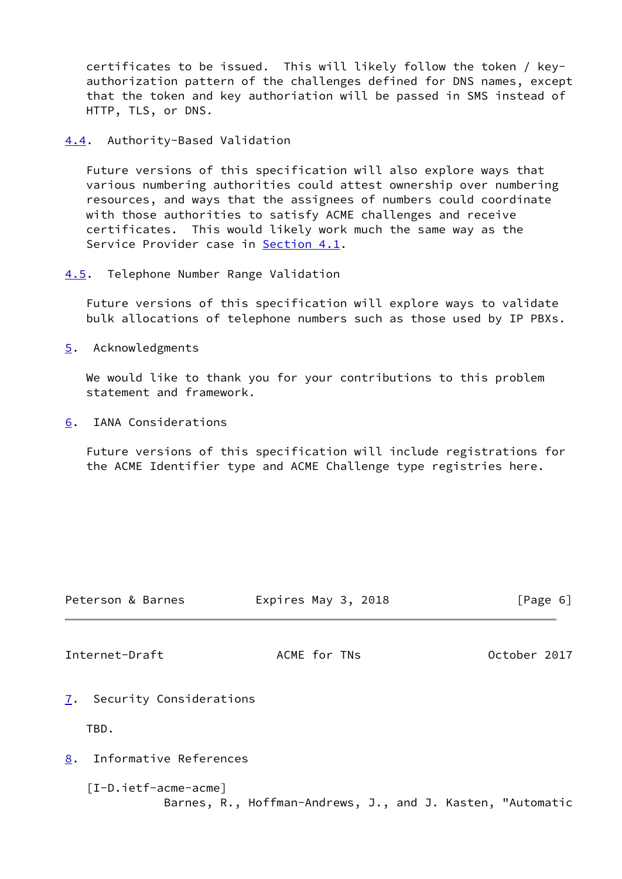certificates to be issued. This will likely follow the token / key authorization pattern of the challenges defined for DNS names, except that the token and key authoriation will be passed in SMS instead of HTTP, TLS, or DNS.

<span id="page-6-0"></span>[4.4](#page-6-0). Authority-Based Validation

 Future versions of this specification will also explore ways that various numbering authorities could attest ownership over numbering resources, and ways that the assignees of numbers could coordinate with those authorities to satisfy ACME challenges and receive certificates. This would likely work much the same way as the Service Provider case in [Section 4.1](#page-4-0).

<span id="page-6-1"></span>[4.5](#page-6-1). Telephone Number Range Validation

 Future versions of this specification will explore ways to validate bulk allocations of telephone numbers such as those used by IP PBXs.

<span id="page-6-2"></span>[5](#page-6-2). Acknowledgments

 We would like to thank you for your contributions to this problem statement and framework.

<span id="page-6-3"></span>[6](#page-6-3). IANA Considerations

 Future versions of this specification will include registrations for the ACME Identifier type and ACME Challenge type registries here.

<span id="page-6-7"></span><span id="page-6-6"></span><span id="page-6-5"></span><span id="page-6-4"></span>

|                | Peterson & Barnes                                                                    | Expires May 3, 2018 |              |  |              | [Page 6] |
|----------------|--------------------------------------------------------------------------------------|---------------------|--------------|--|--------------|----------|
| Internet-Draft |                                                                                      |                     | ACME for TNs |  | October 2017 |          |
|                | 7. Security Considerations                                                           |                     |              |  |              |          |
| TBD.           |                                                                                      |                     |              |  |              |          |
| 8.             | Informative References                                                               |                     |              |  |              |          |
|                | $[I-D.ietf-acme-acme]$<br>Barnes, R., Hoffman-Andrews, J., and J. Kasten, "Automatic |                     |              |  |              |          |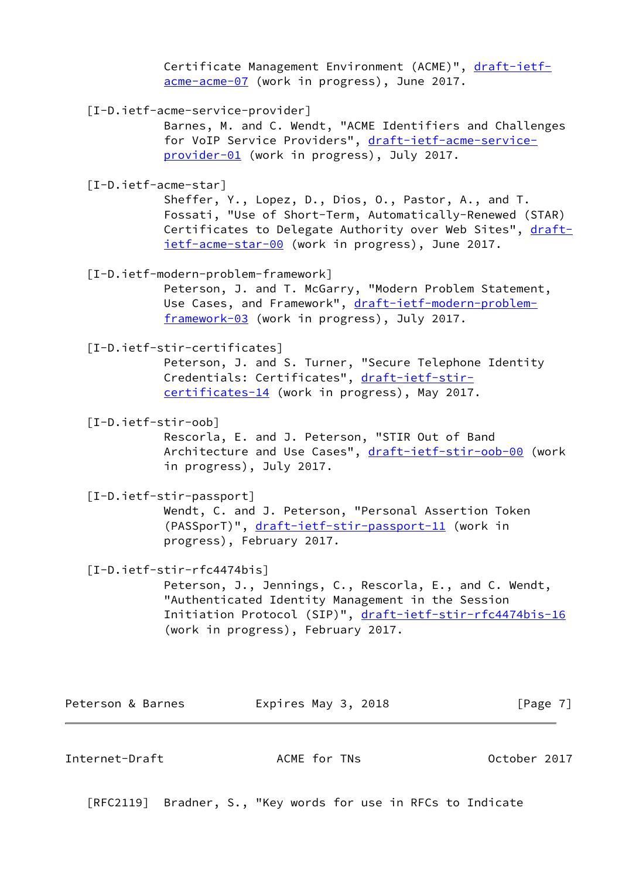Certificate Management Environment (ACME)", [draft-ietf](https://datatracker.ietf.org/doc/pdf/draft-ietf-acme-acme-07) [acme-acme-07](https://datatracker.ietf.org/doc/pdf/draft-ietf-acme-acme-07) (work in progress), June 2017.

<span id="page-7-4"></span>[I-D.ietf-acme-service-provider]

 Barnes, M. and C. Wendt, "ACME Identifiers and Challenges for VoIP Service Providers", [draft-ietf-acme-service](https://datatracker.ietf.org/doc/pdf/draft-ietf-acme-service-provider-01) [provider-01](https://datatracker.ietf.org/doc/pdf/draft-ietf-acme-service-provider-01) (work in progress), July 2017.

[I-D.ietf-acme-star]

 Sheffer, Y., Lopez, D., Dios, O., Pastor, A., and T. Fossati, "Use of Short-Term, Automatically-Renewed (STAR) Certificates to Delegate Authority over Web Sites", [draft](https://datatracker.ietf.org/doc/pdf/draft-ietf-acme-star-00) [ietf-acme-star-00](https://datatracker.ietf.org/doc/pdf/draft-ietf-acme-star-00) (work in progress), June 2017.

<span id="page-7-5"></span>[I-D.ietf-modern-problem-framework]

 Peterson, J. and T. McGarry, "Modern Problem Statement, Use Cases, and Framework", [draft-ietf-modern-problem](https://datatracker.ietf.org/doc/pdf/draft-ietf-modern-problem-framework-03) [framework-03](https://datatracker.ietf.org/doc/pdf/draft-ietf-modern-problem-framework-03) (work in progress), July 2017.

[I-D.ietf-stir-certificates]

 Peterson, J. and S. Turner, "Secure Telephone Identity Credentials: Certificates", [draft-ietf-stir](https://datatracker.ietf.org/doc/pdf/draft-ietf-stir-certificates-14) [certificates-14](https://datatracker.ietf.org/doc/pdf/draft-ietf-stir-certificates-14) (work in progress), May 2017.

<span id="page-7-3"></span>[I-D.ietf-stir-oob]

 Rescorla, E. and J. Peterson, "STIR Out of Band Architecture and Use Cases", [draft-ietf-stir-oob-00](https://datatracker.ietf.org/doc/pdf/draft-ietf-stir-oob-00) (work in progress), July 2017.

<span id="page-7-1"></span>[I-D.ietf-stir-passport]

 Wendt, C. and J. Peterson, "Personal Assertion Token (PASSporT)", [draft-ietf-stir-passport-11](https://datatracker.ietf.org/doc/pdf/draft-ietf-stir-passport-11) (work in progress), February 2017.

<span id="page-7-2"></span>[I-D.ietf-stir-rfc4474bis]

 Peterson, J., Jennings, C., Rescorla, E., and C. Wendt, "Authenticated Identity Management in the Session Initiation Protocol (SIP)", [draft-ietf-stir-rfc4474bis-16](https://datatracker.ietf.org/doc/pdf/draft-ietf-stir-rfc4474bis-16) (work in progress), February 2017.

Peterson & Barnes **Expires May 3, 2018** [Page 7]

<span id="page-7-0"></span>Internet-Draft **ACME** for TNs **October 2017** 

[RFC2119] Bradner, S., "Key words for use in RFCs to Indicate